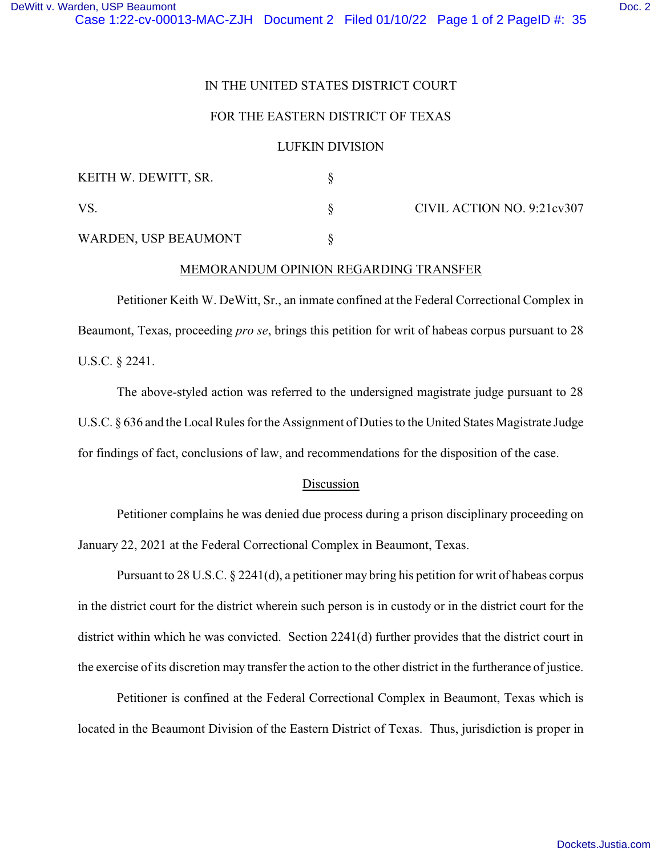# IN THE UNITED STATES DISTRICT COURT

# FOR THE EASTERN DISTRICT OF TEXAS

#### LUFKIN DIVISION

| KEITH W. DEWITT, SR. |                            |
|----------------------|----------------------------|
| VS                   | CIVIL ACTION NO. 9:21cv307 |
| WARDEN, USP BEAUMONT |                            |

# MEMORANDUM OPINION REGARDING TRANSFER

Petitioner Keith W. DeWitt, Sr., an inmate confined at the Federal Correctional Complex in Beaumont, Texas, proceeding *pro se*, brings this petition for writ of habeas corpus pursuant to 28 U.S.C. § 2241.

The above-styled action was referred to the undersigned magistrate judge pursuant to 28 U.S.C. § 636 and the Local Rules for the Assignment of Duties to the United States Magistrate Judge for findings of fact, conclusions of law, and recommendations for the disposition of the case.

# Discussion

Petitioner complains he was denied due process during a prison disciplinary proceeding on January 22, 2021 at the Federal Correctional Complex in Beaumont, Texas.

Pursuant to 28 U.S.C. § 2241(d), a petitioner may bring his petition for writ of habeas corpus in the district court for the district wherein such person is in custody or in the district court for the district within which he was convicted. Section 2241(d) further provides that the district court in the exercise of its discretion may transfer the action to the other district in the furtherance of justice.

Petitioner is confined at the Federal Correctional Complex in Beaumont, Texas which is located in the Beaumont Division of the Eastern District of Texas. Thus, jurisdiction is proper in